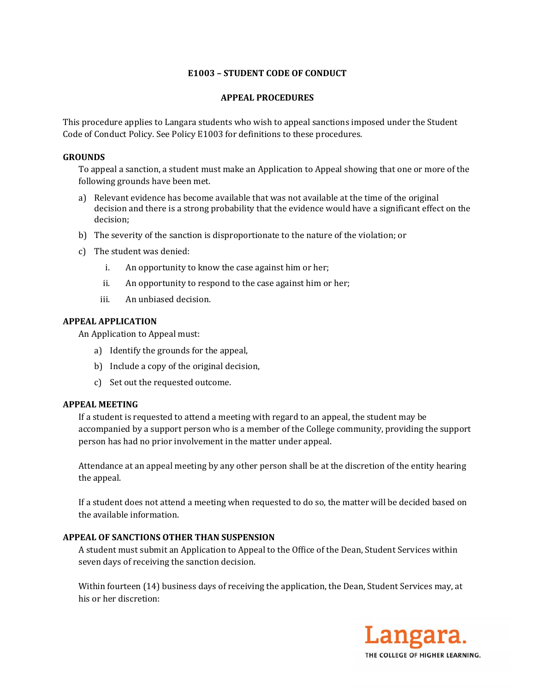# **E1003 – STUDENT CODE OF CONDUCT**

## **APPEAL PROCEDURES**

This procedure applies to Langara students who wish to appeal sanctions imposed under the Student Code of Conduct Policy. See Policy E1003 for definitions to these procedures.

## **GROUNDS**

To appeal a sanction, a student must make an Application to Appeal showing that one or more of the following grounds have been met.

- a) Relevant evidence has become available that was not available at the time of the original decision and there is a strong probability that the evidence would have a significant effect on the decision;
- b) The severity of the sanction is disproportionate to the nature of the violation; or
- c) The student was denied:
	- i. An opportunity to know the case against him or her;
	- ii. An opportunity to respond to the case against him or her;
	- iii. An unbiased decision.

## **APPEAL APPLICATION**

An Application to Appeal must:

- a) Identify the grounds for the appeal,
- b) Include a copy of the original decision,
- c) Set out the requested outcome.

### **APPEAL MEETING**

If a student is requested to attend a meeting with regard to an appeal, the student may be accompanied by a support person who is a member of the College community, providing the support person has had no prior involvement in the matter under appeal.

Attendance at an appeal meeting by any other person shall be at the discretion of the entity hearing the appeal.

If a student does not attend a meeting when requested to do so, the matter will be decided based on the available information.

# **APPEAL OF SANCTIONS OTHER THAN SUSPENSION**

A student must submit an Application to Appeal to the Office of the Dean, Student Services within seven days of receiving the sanction decision.

Within fourteen (14) business days of receiving the application, the Dean, Student Services may, at his or her discretion:

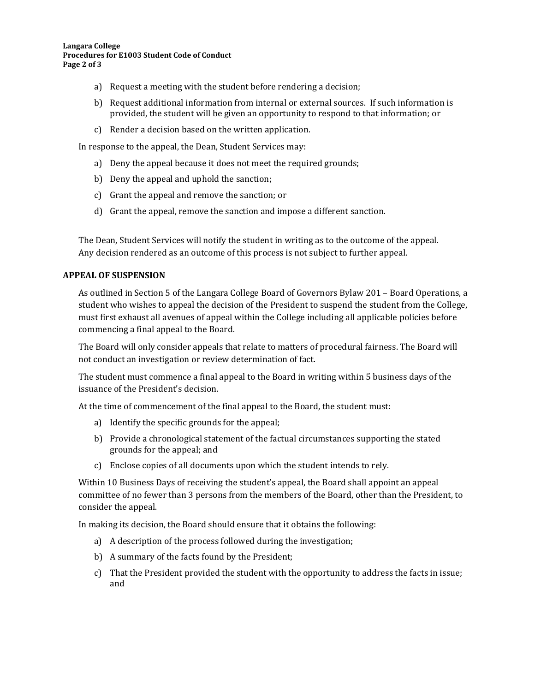- a) Request a meeting with the student before rendering a decision;
- b) Request additional information from internal or external sources. If such information is provided, the student will be given an opportunity to respond to that information; or
- c) Render a decision based on the written application.

In response to the appeal, the Dean, Student Services may:

- a) Deny the appeal because it does not meet the required grounds;
- b) Deny the appeal and uphold the sanction;
- c) Grant the appeal and remove the sanction; or
- d) Grant the appeal, remove the sanction and impose a different sanction.

The Dean, Student Services will notify the student in writing as to the outcome of the appeal. Any decision rendered as an outcome of this process is not subject to further appeal.

# **APPEAL OF SUSPENSION**

As outlined in Section 5 of the Langara College Board of Governors Bylaw 201 – Board Operations, a student who wishes to appeal the decision of the President to suspend the student from the College, must first exhaust all avenues of appeal within the College including all applicable policies before commencing a final appeal to the Board.

The Board will only consider appeals that relate to matters of procedural fairness. The Board will not conduct an investigation or review determination of fact.

The student must commence a final appeal to the Board in writing within 5 business days of the issuance of the President's decision.

At the time of commencement of the final appeal to the Board, the student must:

- a) Identify the specific grounds for the appeal;
- b) Provide a chronological statement of the factual circumstances supporting the stated grounds for the appeal; and
- c) Enclose copies of all documents upon which the student intends to rely.

Within 10 Business Days of receiving the student's appeal, the Board shall appoint an appeal committee of no fewer than 3 persons from the members of the Board, other than the President, to consider the appeal.

In making its decision, the Board should ensure that it obtains the following:

- a) A description of the process followed during the investigation;
- b) A summary of the facts found by the President;
- c) That the President provided the student with the opportunity to address the facts in issue; and